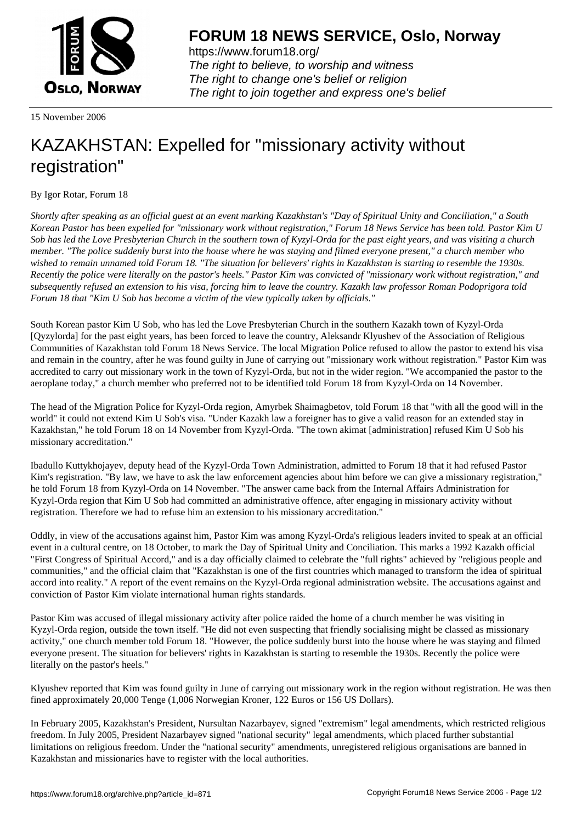

https://www.forum18.org/ The right to believe, to worship and witness The right to change one's belief or religion [The right to join together a](https://www.forum18.org/)nd express one's belief

15 November 2006

## [KAZAKHSTAN:](https://www.forum18.org) Expelled for "missionary activity without registration"

By Igor Rotar, Forum 18

*Shortly after speaking as an official guest at an event marking Kazakhstan's "Day of Spiritual Unity and Conciliation," a South Korean Pastor has been expelled for "missionary work without registration," Forum 18 News Service has been told. Pastor Kim U Sob has led the Love Presbyterian Church in the southern town of Kyzyl-Orda for the past eight years, and was visiting a church member. "The police suddenly burst into the house where he was staying and filmed everyone present," a church member who wished to remain unnamed told Forum 18. "The situation for believers' rights in Kazakhstan is starting to resemble the 1930s. Recently the police were literally on the pastor's heels." Pastor Kim was convicted of "missionary work without registration," and subsequently refused an extension to his visa, forcing him to leave the country. Kazakh law professor Roman Podoprigora told Forum 18 that "Kim U Sob has become a victim of the view typically taken by officials."*

South Korean pastor Kim U Sob, who has led the Love Presbyterian Church in the southern Kazakh town of Kyzyl-Orda [Qyzylorda] for the past eight years, has been forced to leave the country, Aleksandr Klyushev of the Association of Religious Communities of Kazakhstan told Forum 18 News Service. The local Migration Police refused to allow the pastor to extend his visa and remain in the country, after he was found guilty in June of carrying out "missionary work without registration." Pastor Kim was accredited to carry out missionary work in the town of Kyzyl-Orda, but not in the wider region. "We accompanied the pastor to the aeroplane today," a church member who preferred not to be identified told Forum 18 from Kyzyl-Orda on 14 November.

The head of the Migration Police for Kyzyl-Orda region, Amyrbek Shaimagbetov, told Forum 18 that "with all the good will in the world" it could not extend Kim U Sob's visa. "Under Kazakh law a foreigner has to give a valid reason for an extended stay in Kazakhstan," he told Forum 18 on 14 November from Kyzyl-Orda. "The town akimat [administration] refused Kim U Sob his missionary accreditation."

Ibadullo Kuttykhojayev, deputy head of the Kyzyl-Orda Town Administration, admitted to Forum 18 that it had refused Pastor Kim's registration. "By law, we have to ask the law enforcement agencies about him before we can give a missionary registration," he told Forum 18 from Kyzyl-Orda on 14 November. "The answer came back from the Internal Affairs Administration for Kyzyl-Orda region that Kim U Sob had committed an administrative offence, after engaging in missionary activity without registration. Therefore we had to refuse him an extension to his missionary accreditation."

Oddly, in view of the accusations against him, Pastor Kim was among Kyzyl-Orda's religious leaders invited to speak at an official event in a cultural centre, on 18 October, to mark the Day of Spiritual Unity and Conciliation. This marks a 1992 Kazakh official "First Congress of Spiritual Accord," and is a day officially claimed to celebrate the "full rights" achieved by "religious people and communities," and the official claim that "Kazakhstan is one of the first countries which managed to transform the idea of spiritual accord into reality." A report of the event remains on the Kyzyl-Orda regional administration website. The accusations against and conviction of Pastor Kim violate international human rights standards.

Pastor Kim was accused of illegal missionary activity after police raided the home of a church member he was visiting in Kyzyl-Orda region, outside the town itself. "He did not even suspecting that friendly socialising might be classed as missionary activity," one church member told Forum 18. "However, the police suddenly burst into the house where he was staying and filmed everyone present. The situation for believers' rights in Kazakhstan is starting to resemble the 1930s. Recently the police were literally on the pastor's heels."

Klyushev reported that Kim was found guilty in June of carrying out missionary work in the region without registration. He was then fined approximately 20,000 Tenge (1,006 Norwegian Kroner, 122 Euros or 156 US Dollars).

In February 2005, Kazakhstan's President, Nursultan Nazarbayev, signed "extremism" legal amendments, which restricted religious freedom. In July 2005, President Nazarbayev signed "national security" legal amendments, which placed further substantial limitations on religious freedom. Under the "national security" amendments, unregistered religious organisations are banned in Kazakhstan and missionaries have to register with the local authorities.